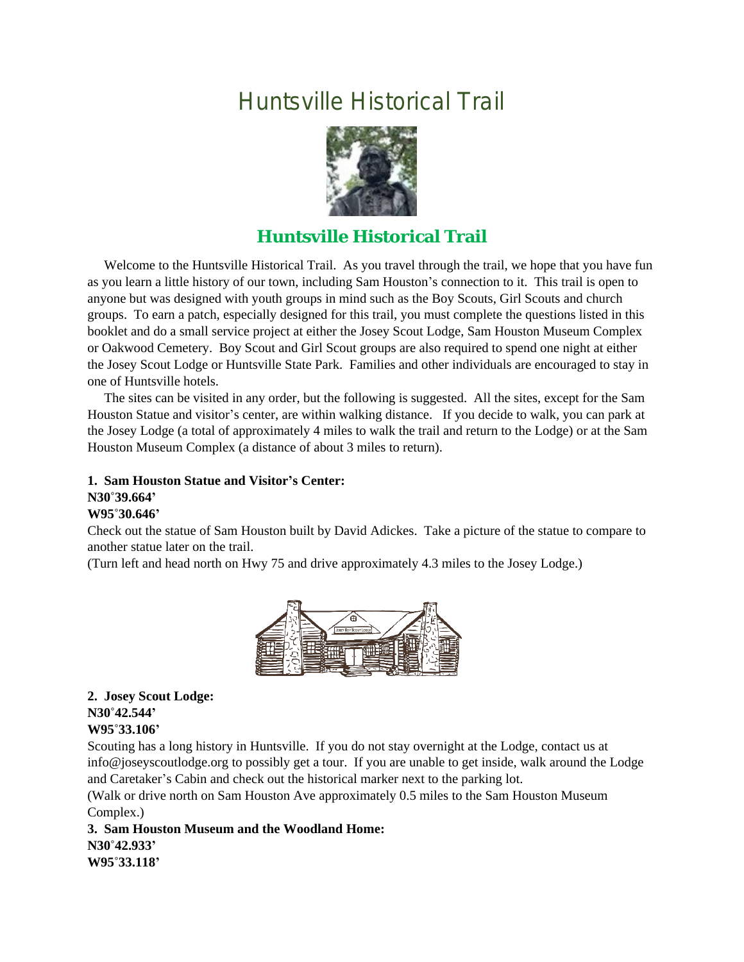# Huntsville Historical Trail



# **Huntsville Historical Trail**

 Welcome to the Huntsville Historical Trail. As you travel through the trail, we hope that you have fun as you learn a little history of our town, including Sam Houston's connection to it. This trail is open to anyone but was designed with youth groups in mind such as the Boy Scouts, Girl Scouts and church groups. To earn a patch, especially designed for this trail, you must complete the questions listed in this booklet and do a small service project at either the Josey Scout Lodge, Sam Houston Museum Complex or Oakwood Cemetery. Boy Scout and Girl Scout groups are also required to spend one night at either the Josey Scout Lodge or Huntsville State Park. Families and other individuals are encouraged to stay in one of Huntsville hotels.

 The sites can be visited in any order, but the following is suggested. All the sites, except for the Sam Houston Statue and visitor's center, are within walking distance. If you decide to walk, you can park at the Josey Lodge (a total of approximately 4 miles to walk the trail and return to the Lodge) or at the Sam Houston Museum Complex (a distance of about 3 miles to return).

#### **1. Sam Houston Statue and Visitor's Center: N30˚39.664' W95˚30.646'**

Check out the statue of Sam Houston built by David Adickes. Take a picture of the statue to compare to another statue later on the trail.

(Turn left and head north on Hwy 75 and drive approximately 4.3 miles to the Josey Lodge.)



**2. Josey Scout Lodge: N30˚42.544' W95˚33.106'**

Scouting has a long history in Huntsville. If you do not stay overnight at the Lodge, contact us at info@joseyscoutlodge.org to possibly get a tour. If you are unable to get inside, walk around the Lodge and Caretaker's Cabin and check out the historical marker next to the parking lot.

(Walk or drive north on Sam Houston Ave approximately 0.5 miles to the Sam Houston Museum Complex.)

**3. Sam Houston Museum and the Woodland Home: N30˚42.933' W95˚33.118'**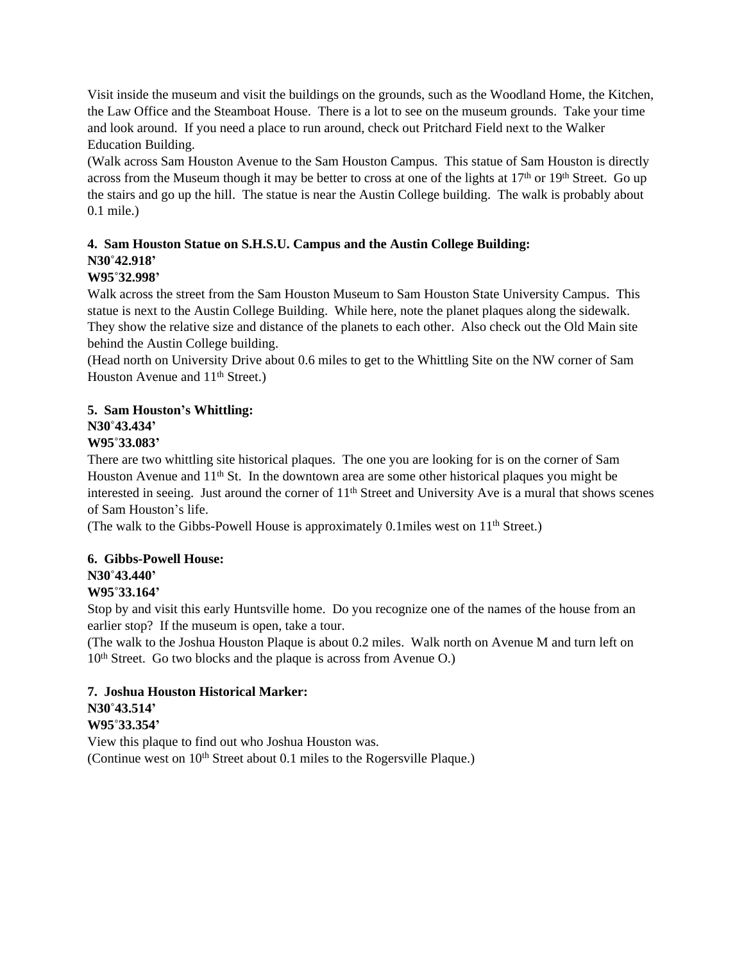Visit inside the museum and visit the buildings on the grounds, such as the Woodland Home, the Kitchen, the Law Office and the Steamboat House. There is a lot to see on the museum grounds. Take your time and look around. If you need a place to run around, check out Pritchard Field next to the Walker Education Building.

(Walk across Sam Houston Avenue to the Sam Houston Campus. This statue of Sam Houston is directly across from the Museum though it may be better to cross at one of the lights at  $17<sup>th</sup>$  or  $19<sup>th</sup>$  Street. Go up the stairs and go up the hill. The statue is near the Austin College building. The walk is probably about 0.1 mile.)

# **4. Sam Houston Statue on S.H.S.U. Campus and the Austin College Building: N30˚42.918'**

## **W95˚32.998'**

Walk across the street from the Sam Houston Museum to Sam Houston State University Campus. This statue is next to the Austin College Building. While here, note the planet plaques along the sidewalk. They show the relative size and distance of the planets to each other. Also check out the Old Main site behind the Austin College building.

(Head north on University Drive about 0.6 miles to get to the Whittling Site on the NW corner of Sam Houston Avenue and 11<sup>th</sup> Street.)

## **5. Sam Houston's Whittling:**

## **N30˚43.434'**

## **W95˚33.083'**

There are two whittling site historical plaques. The one you are looking for is on the corner of Sam Houston Avenue and 11<sup>th</sup> St. In the downtown area are some other historical plaques you might be interested in seeing. Just around the corner of  $11<sup>th</sup>$  Street and University Ave is a mural that shows scenes of Sam Houston's life.

(The walk to the Gibbs-Powell House is approximately 0.1miles west on  $11<sup>th</sup>$  Street.)

## **6. Gibbs-Powell House: N30˚43.440'**

## **W95˚33.164'**

Stop by and visit this early Huntsville home. Do you recognize one of the names of the house from an earlier stop? If the museum is open, take a tour.

(The walk to the Joshua Houston Plaque is about 0.2 miles. Walk north on Avenue M and turn left on 10<sup>th</sup> Street. Go two blocks and the plaque is across from Avenue O.)

# **7. Joshua Houston Historical Marker: N30˚43.514'**

## **W95˚33.354'**

View this plaque to find out who Joshua Houston was. (Continue west on 10<sup>th</sup> Street about 0.1 miles to the Rogersville Plaque.)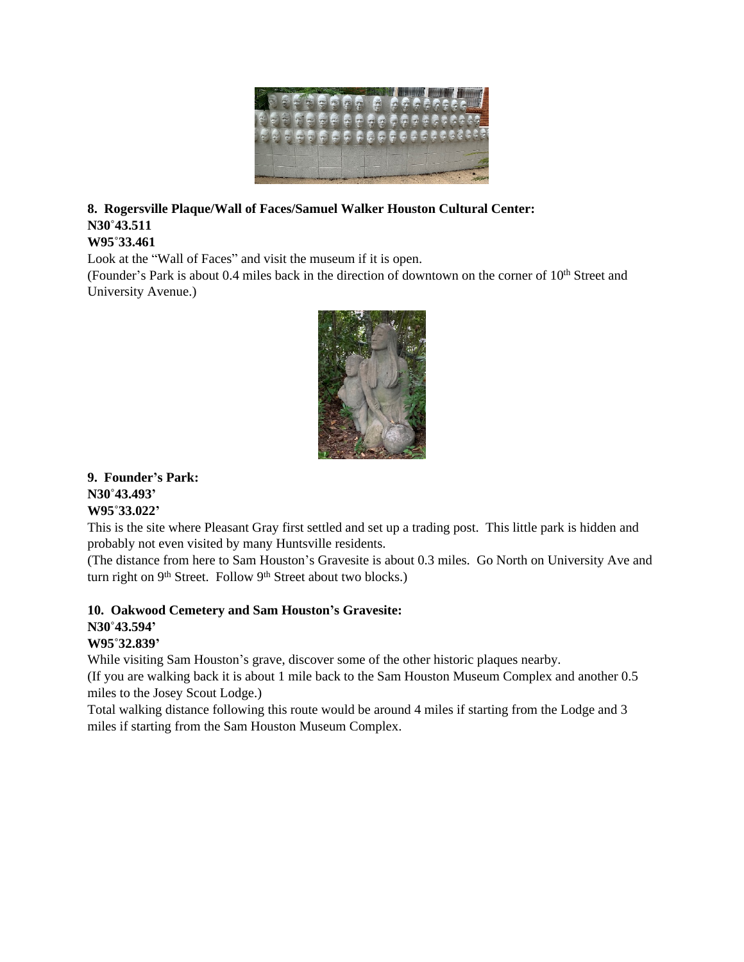

# **8. Rogersville Plaque/Wall of Faces/Samuel Walker Houston Cultural Center: N30˚43.511**

## **W95˚33.461**

Look at the "Wall of Faces" and visit the museum if it is open.

(Founder's Park is about 0.4 miles back in the direction of downtown on the corner of 10<sup>th</sup> Street and University Avenue.)



## **9. Founder's Park: N30˚43.493' W95˚33.022'**

This is the site where Pleasant Gray first settled and set up a trading post. This little park is hidden and probably not even visited by many Huntsville residents.

(The distance from here to Sam Houston's Gravesite is about 0.3 miles. Go North on University Ave and turn right on 9<sup>th</sup> Street. Follow 9<sup>th</sup> Street about two blocks.)

## **10. Oakwood Cemetery and Sam Houston's Gravesite: N30˚43.594'**

## **W95˚32.839'**

While visiting Sam Houston's grave, discover some of the other historic plaques nearby.

(If you are walking back it is about 1 mile back to the Sam Houston Museum Complex and another 0.5 miles to the Josey Scout Lodge.)

Total walking distance following this route would be around 4 miles if starting from the Lodge and 3 miles if starting from the Sam Houston Museum Complex.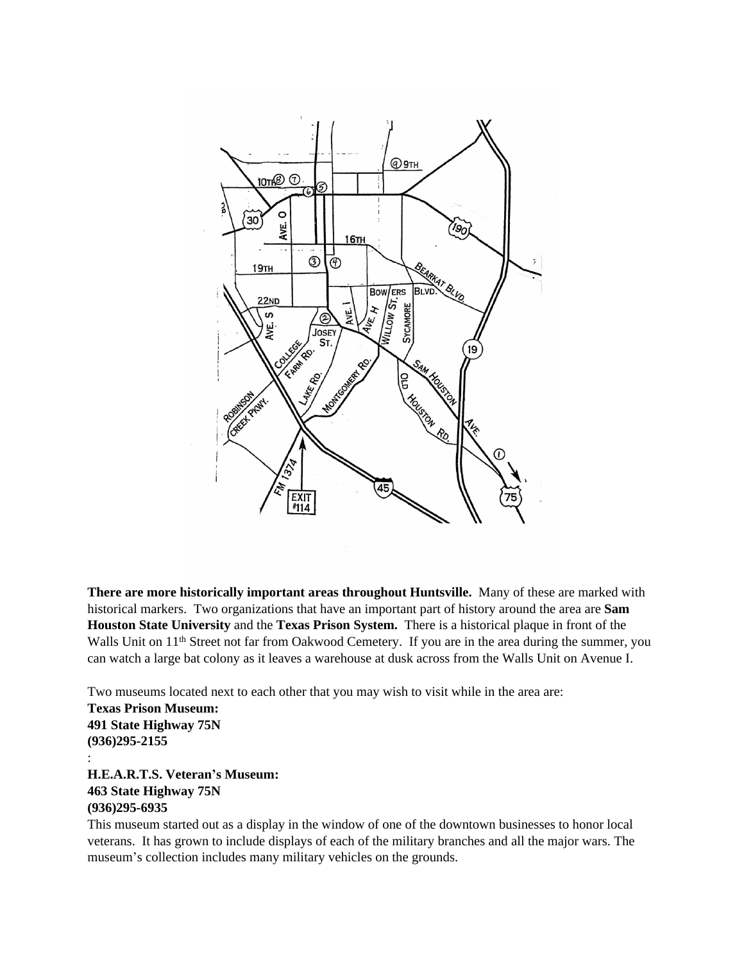

**There are more historically important areas throughout Huntsville.** Many of these are marked with historical markers. Two organizations that have an important part of history around the area are **Sam Houston State University** and the **Texas Prison System.** There is a historical plaque in front of the Walls Unit on 11<sup>th</sup> Street not far from Oakwood Cemetery. If you are in the area during the summer, you can watch a large bat colony as it leaves a warehouse at dusk across from the Walls Unit on Avenue I.

Two museums located next to each other that you may wish to visit while in the area are: **Texas Prison Museum: 491 State Highway 75N (936)295-2155**

: **H.E.A.R.T.S. Veteran's Museum: 463 State Highway 75N (936)295-6935**

This museum started out as a display in the window of one of the downtown businesses to honor local veterans. It has grown to include displays of each of the military branches and all the major wars. The museum's collection includes many military vehicles on the grounds.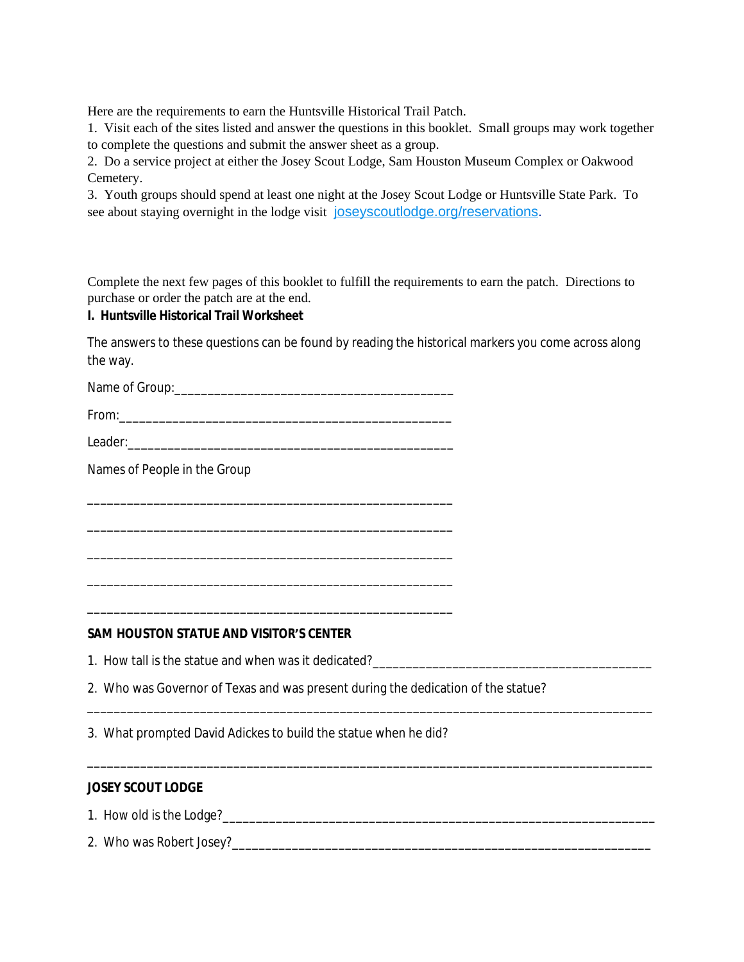Here are the requirements to earn the Huntsville Historical Trail Patch.

1. Visit each of the sites listed and answer the questions in this booklet. Small groups may work together to complete the questions and submit the answer sheet as a group.

2. Do a service project at either the Josey Scout Lodge, Sam Houston Museum Complex or Oakwood Cemetery.

3. Youth groups should spend at least one night at the Josey Scout Lodge or Huntsville State Park. To see about staying overnight in the lodge visit joseys court lodge.org/reservations.

Complete the next few pages of this booklet to fulfill the requirements to earn the patch. Directions to purchase or order the patch are at the end.

## **I. Huntsville Historical Trail Worksheet**

The answers to these questions can be found by reading the historical markers you come across along the way.

Name of Group:\_\_\_\_\_\_\_\_\_\_\_\_\_\_\_\_\_\_\_\_\_\_\_\_\_\_\_\_\_\_\_\_\_\_\_\_\_\_\_\_\_\_

From:\_\_\_\_\_\_\_\_\_\_\_\_\_\_\_\_\_\_\_\_\_\_\_\_\_\_\_\_\_\_\_\_\_\_\_\_\_\_\_\_\_\_\_\_\_\_\_\_\_\_

Leader:

\_\_\_\_\_\_\_\_\_\_\_\_\_\_\_\_\_\_\_\_\_\_\_\_\_\_\_\_\_\_\_\_\_\_\_\_\_\_\_\_\_\_\_\_\_\_\_\_\_\_\_\_\_\_\_

\_\_\_\_\_\_\_\_\_\_\_\_\_\_\_\_\_\_\_\_\_\_\_\_\_\_\_\_\_\_\_\_\_\_\_\_\_\_\_\_\_\_\_\_\_\_\_\_\_\_\_\_\_\_\_

\_\_\_\_\_\_\_\_\_\_\_\_\_\_\_\_\_\_\_\_\_\_\_\_\_\_\_\_\_\_\_\_\_\_\_\_\_\_\_\_\_\_\_\_\_\_\_\_\_\_\_\_\_\_\_

\_\_\_\_\_\_\_\_\_\_\_\_\_\_\_\_\_\_\_\_\_\_\_\_\_\_\_\_\_\_\_\_\_\_\_\_\_\_\_\_\_\_\_\_\_\_\_\_\_\_\_\_\_\_\_

\_\_\_\_\_\_\_\_\_\_\_\_\_\_\_\_\_\_\_\_\_\_\_\_\_\_\_\_\_\_\_\_\_\_\_\_\_\_\_\_\_\_\_\_\_\_\_\_\_\_\_\_\_\_\_

Names of People in the Group

#### **SAM HOUSTON STATUE AND VISITOR'S CENTER**

1. How tall is the statue and when was it dedicated?\_\_\_\_\_\_\_\_\_\_\_\_\_\_\_\_\_\_\_\_\_\_\_\_\_\_\_\_

2. Who was Governor of Texas and was present during the dedication of the statue?

\_\_\_\_\_\_\_\_\_\_\_\_\_\_\_\_\_\_\_\_\_\_\_\_\_\_\_\_\_\_\_\_\_\_\_\_\_\_\_\_\_\_\_\_\_\_\_\_\_\_\_\_\_\_\_\_\_\_\_\_\_\_\_\_\_\_\_\_\_\_\_\_\_\_\_\_\_\_\_\_\_\_\_\_\_

\_\_\_\_\_\_\_\_\_\_\_\_\_\_\_\_\_\_\_\_\_\_\_\_\_\_\_\_\_\_\_\_\_\_\_\_\_\_\_\_\_\_\_\_\_\_\_\_\_\_\_\_\_\_\_\_\_\_\_\_\_\_\_\_\_\_\_\_\_\_\_\_\_\_\_\_\_\_\_\_\_\_\_\_\_

3. What prompted David Adickes to build the statue when he did?

### **JOSEY SCOUT LODGE**

1. How old is the Lodge?\_\_\_\_\_\_\_\_\_\_\_\_\_\_\_\_\_\_\_\_\_\_\_\_\_\_\_\_\_\_\_\_\_\_\_\_\_\_\_\_\_\_\_\_\_\_\_\_\_\_\_\_\_\_\_\_\_\_\_\_\_\_\_\_\_

2. Who was Robert Josey?\_\_\_\_\_\_\_\_\_\_\_\_\_\_\_\_\_\_\_\_\_\_\_\_\_\_\_\_\_\_\_\_\_\_\_\_\_\_\_\_\_\_\_\_\_\_\_\_\_\_\_\_\_\_\_\_\_\_\_\_\_\_\_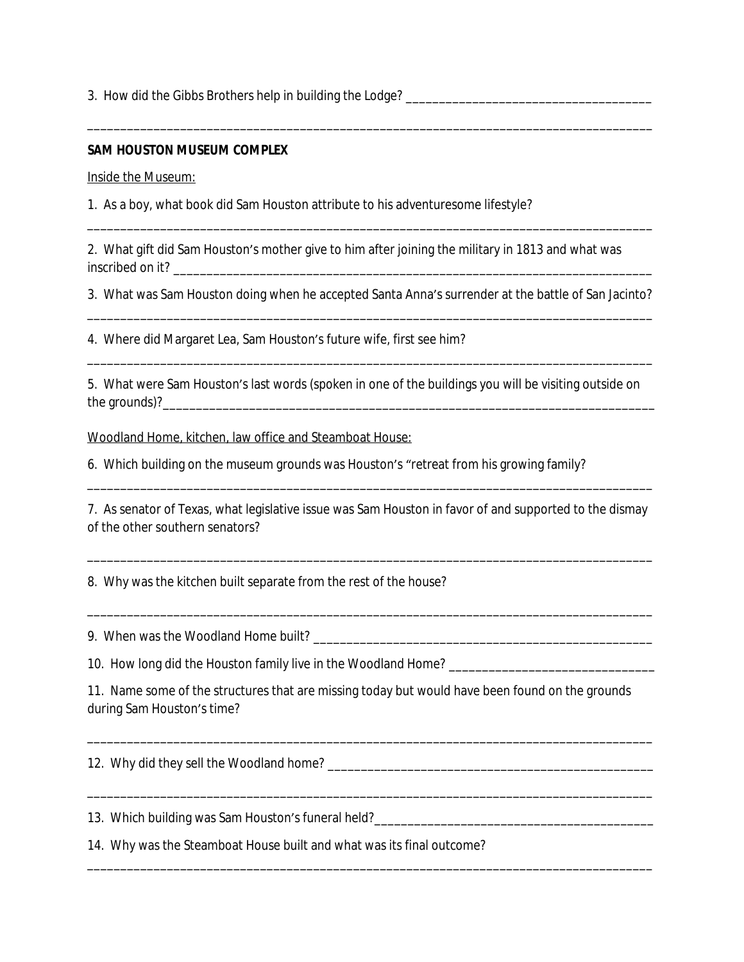3. How did the Gibbs Brothers help in building the Lodge?

#### **SAM HOUSTON MUSEUM COMPLEX**

Inside the Museum:

1. As a boy, what book did Sam Houston attribute to his adventuresome lifestyle?

2. What gift did Sam Houston's mother give to him after joining the military in 1813 and what was inscribed on it? \_\_\_\_\_\_\_\_\_\_\_\_\_\_\_\_\_\_\_\_\_\_\_\_\_\_\_\_\_\_\_\_\_\_\_\_\_\_\_\_\_\_\_\_\_\_\_\_\_\_\_\_\_\_\_\_\_\_\_\_\_\_\_\_\_\_\_\_\_\_\_\_

3. What was Sam Houston doing when he accepted Santa Anna's surrender at the battle of San Jacinto? \_\_\_\_\_\_\_\_\_\_\_\_\_\_\_\_\_\_\_\_\_\_\_\_\_\_\_\_\_\_\_\_\_\_\_\_\_\_\_\_\_\_\_\_\_\_\_\_\_\_\_\_\_\_\_\_\_\_\_\_\_\_\_\_\_\_\_\_\_\_\_\_\_\_\_\_\_\_\_\_\_\_\_\_\_

\_\_\_\_\_\_\_\_\_\_\_\_\_\_\_\_\_\_\_\_\_\_\_\_\_\_\_\_\_\_\_\_\_\_\_\_\_\_\_\_\_\_\_\_\_\_\_\_\_\_\_\_\_\_\_\_\_\_\_\_\_\_\_\_\_\_\_\_\_\_\_\_\_\_\_\_\_\_\_\_\_\_\_\_\_

\_\_\_\_\_\_\_\_\_\_\_\_\_\_\_\_\_\_\_\_\_\_\_\_\_\_\_\_\_\_\_\_\_\_\_\_\_\_\_\_\_\_\_\_\_\_\_\_\_\_\_\_\_\_\_\_\_\_\_\_\_\_\_\_\_\_\_\_\_\_\_\_\_\_\_\_\_\_\_\_\_\_\_\_\_

4. Where did Margaret Lea, Sam Houston's future wife, first see him?

5. What were Sam Houston's last words (spoken in one of the buildings you will be visiting outside on the grounds)?

\_\_\_\_\_\_\_\_\_\_\_\_\_\_\_\_\_\_\_\_\_\_\_\_\_\_\_\_\_\_\_\_\_\_\_\_\_\_\_\_\_\_\_\_\_\_\_\_\_\_\_\_\_\_\_\_\_\_\_\_\_\_\_\_\_\_\_\_\_\_\_\_\_\_\_\_\_\_\_\_\_\_\_\_\_

Woodland Home, kitchen, law office and Steamboat House:

6. Which building on the museum grounds was Houston's "retreat from his growing family?

7. As senator of Texas, what legislative issue was Sam Houston in favor of and supported to the dismay of the other southern senators?

\_\_\_\_\_\_\_\_\_\_\_\_\_\_\_\_\_\_\_\_\_\_\_\_\_\_\_\_\_\_\_\_\_\_\_\_\_\_\_\_\_\_\_\_\_\_\_\_\_\_\_\_\_\_\_\_\_\_\_\_\_\_\_\_\_\_\_\_\_\_\_\_\_\_\_\_\_\_\_\_\_\_\_\_\_

\_\_\_\_\_\_\_\_\_\_\_\_\_\_\_\_\_\_\_\_\_\_\_\_\_\_\_\_\_\_\_\_\_\_\_\_\_\_\_\_\_\_\_\_\_\_\_\_\_\_\_\_\_\_\_\_\_\_\_\_\_\_\_\_\_\_\_\_\_\_\_\_\_\_\_\_\_\_\_\_\_\_\_\_\_

\_\_\_\_\_\_\_\_\_\_\_\_\_\_\_\_\_\_\_\_\_\_\_\_\_\_\_\_\_\_\_\_\_\_\_\_\_\_\_\_\_\_\_\_\_\_\_\_\_\_\_\_\_\_\_\_\_\_\_\_\_\_\_\_\_\_\_\_\_\_\_\_\_\_\_\_\_\_\_\_\_\_\_\_\_

8. Why was the kitchen built separate from the rest of the house?

9. When was the Woodland Home built? \_\_\_\_\_\_\_\_\_\_\_\_\_\_\_\_\_\_\_\_\_\_\_\_\_\_\_\_\_\_\_\_\_\_\_\_\_\_\_\_\_\_\_\_\_\_\_\_\_\_\_

10. How long did the Houston family live in the Woodland Home? \_\_\_\_\_\_\_\_\_\_\_\_\_\_\_\_\_\_\_\_\_\_\_\_\_\_\_\_\_\_\_

11. Name some of the structures that are missing today but would have been found on the grounds during Sam Houston's time?

\_\_\_\_\_\_\_\_\_\_\_\_\_\_\_\_\_\_\_\_\_\_\_\_\_\_\_\_\_\_\_\_\_\_\_\_\_\_\_\_\_\_\_\_\_\_\_\_\_\_\_\_\_\_\_\_\_\_\_\_\_\_\_\_\_\_\_\_\_\_\_\_\_\_\_\_\_\_\_\_\_\_\_\_\_

\_\_\_\_\_\_\_\_\_\_\_\_\_\_\_\_\_\_\_\_\_\_\_\_\_\_\_\_\_\_\_\_\_\_\_\_\_\_\_\_\_\_\_\_\_\_\_\_\_\_\_\_\_\_\_\_\_\_\_\_\_\_\_\_\_\_\_\_\_\_\_\_\_\_\_\_\_\_\_\_\_\_\_\_\_

12. Why did they sell the Woodland home?

13. Which building was Sam Houston's funeral held?\_\_\_\_\_\_\_\_\_\_\_\_\_\_\_\_\_\_\_\_\_\_\_\_\_\_\_\_\_\_\_\_\_\_\_\_\_\_\_\_\_\_

14. Why was the Steamboat House built and what was its final outcome?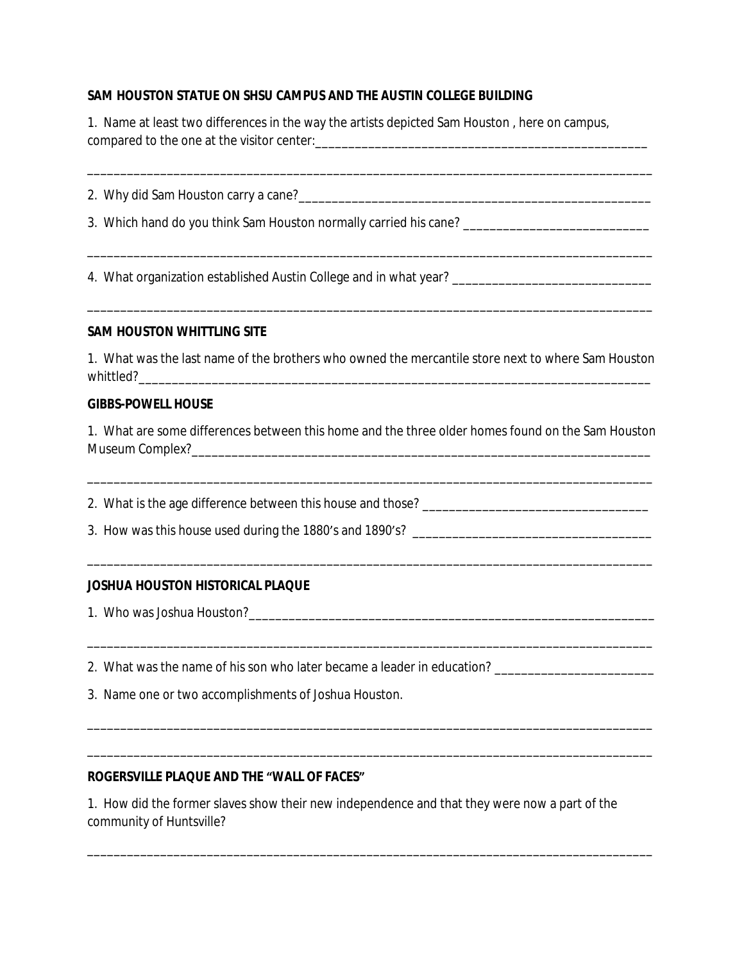## **SAM HOUSTON STATUE ON SHSU CAMPUS AND THE AUSTIN COLLEGE BUILDING**

| 1. Name at least two differences in the way the artists depicted Sam Houston, here on campus, |  |
|-----------------------------------------------------------------------------------------------|--|
| compared to the one at the visitor center:                                                    |  |

\_\_\_\_\_\_\_\_\_\_\_\_\_\_\_\_\_\_\_\_\_\_\_\_\_\_\_\_\_\_\_\_\_\_\_\_\_\_\_\_\_\_\_\_\_\_\_\_\_\_\_\_\_\_\_\_\_\_\_\_\_\_\_\_\_\_\_\_\_\_\_\_\_\_\_\_\_\_\_\_\_\_\_\_\_

\_\_\_\_\_\_\_\_\_\_\_\_\_\_\_\_\_\_\_\_\_\_\_\_\_\_\_\_\_\_\_\_\_\_\_\_\_\_\_\_\_\_\_\_\_\_\_\_\_\_\_\_\_\_\_\_\_\_\_\_\_\_\_\_\_\_\_\_\_\_\_\_\_\_\_\_\_\_\_\_\_\_\_\_\_

\_\_\_\_\_\_\_\_\_\_\_\_\_\_\_\_\_\_\_\_\_\_\_\_\_\_\_\_\_\_\_\_\_\_\_\_\_\_\_\_\_\_\_\_\_\_\_\_\_\_\_\_\_\_\_\_\_\_\_\_\_\_\_\_\_\_\_\_\_\_\_\_\_\_\_\_\_\_\_\_\_\_\_\_\_

2. Why did Sam Houston carry a cane?

3. Which hand do you think Sam Houston normally carried his cane?

4. What organization established Austin College and in what year? \_\_\_\_\_\_\_\_\_\_\_\_\_\_\_\_\_\_\_\_\_\_\_\_\_\_\_\_\_\_

#### **SAM HOUSTON WHITTLING SITE**

1. What was the last name of the brothers who owned the mercantile store next to where Sam Houston whittled?

## **GIBBS-POWELL HOUSE**

1. What are some differences between this home and the three older homes found on the Sam Houston Museum Complex?

\_\_\_\_\_\_\_\_\_\_\_\_\_\_\_\_\_\_\_\_\_\_\_\_\_\_\_\_\_\_\_\_\_\_\_\_\_\_\_\_\_\_\_\_\_\_\_\_\_\_\_\_\_\_\_\_\_\_\_\_\_\_\_\_\_\_\_\_\_\_\_\_\_\_\_\_\_\_\_\_\_\_\_\_\_

\_\_\_\_\_\_\_\_\_\_\_\_\_\_\_\_\_\_\_\_\_\_\_\_\_\_\_\_\_\_\_\_\_\_\_\_\_\_\_\_\_\_\_\_\_\_\_\_\_\_\_\_\_\_\_\_\_\_\_\_\_\_\_\_\_\_\_\_\_\_\_\_\_\_\_\_\_\_\_\_\_\_\_\_\_

\_\_\_\_\_\_\_\_\_\_\_\_\_\_\_\_\_\_\_\_\_\_\_\_\_\_\_\_\_\_\_\_\_\_\_\_\_\_\_\_\_\_\_\_\_\_\_\_\_\_\_\_\_\_\_\_\_\_\_\_\_\_\_\_\_\_\_\_\_\_\_\_\_\_\_\_\_\_\_\_\_\_\_\_\_

\_\_\_\_\_\_\_\_\_\_\_\_\_\_\_\_\_\_\_\_\_\_\_\_\_\_\_\_\_\_\_\_\_\_\_\_\_\_\_\_\_\_\_\_\_\_\_\_\_\_\_\_\_\_\_\_\_\_\_\_\_\_\_\_\_\_\_\_\_\_\_\_\_\_\_\_\_\_\_\_\_\_\_\_\_

\_\_\_\_\_\_\_\_\_\_\_\_\_\_\_\_\_\_\_\_\_\_\_\_\_\_\_\_\_\_\_\_\_\_\_\_\_\_\_\_\_\_\_\_\_\_\_\_\_\_\_\_\_\_\_\_\_\_\_\_\_\_\_\_\_\_\_\_\_\_\_\_\_\_\_\_\_\_\_\_\_\_\_\_\_

\_\_\_\_\_\_\_\_\_\_\_\_\_\_\_\_\_\_\_\_\_\_\_\_\_\_\_\_\_\_\_\_\_\_\_\_\_\_\_\_\_\_\_\_\_\_\_\_\_\_\_\_\_\_\_\_\_\_\_\_\_\_\_\_\_\_\_\_\_\_\_\_\_\_\_\_\_\_\_\_\_\_\_\_\_

2. What is the age difference between this house and those? \_\_\_\_\_\_\_\_\_\_\_\_\_\_\_\_\_\_\_\_\_\_\_\_\_\_\_\_\_\_\_\_\_\_

3. How was this house used during the 1880's and 1890's? \_\_\_\_\_\_\_\_\_\_\_\_\_\_\_\_\_\_\_\_\_\_\_\_

#### **JOSHUA HOUSTON HISTORICAL PLAQUE**

1. Who was Joshua Houston?\_\_\_\_\_\_\_\_\_\_\_\_\_\_\_\_\_\_\_\_\_\_\_\_\_\_\_\_\_\_\_\_\_\_\_\_\_\_\_\_\_\_\_\_\_\_\_\_\_\_\_\_\_\_\_\_\_\_\_\_\_

- 2. What was the name of his son who later became a leader in education? \_\_\_\_\_\_\_\_\_\_\_\_\_\_\_\_\_\_\_\_\_\_\_\_\_\_\_
- 3. Name one or two accomplishments of Joshua Houston.

### **ROGERSVILLE PLAQUE AND THE "WALL OF FACES"**

1. How did the former slaves show their new independence and that they were now a part of the community of Huntsville?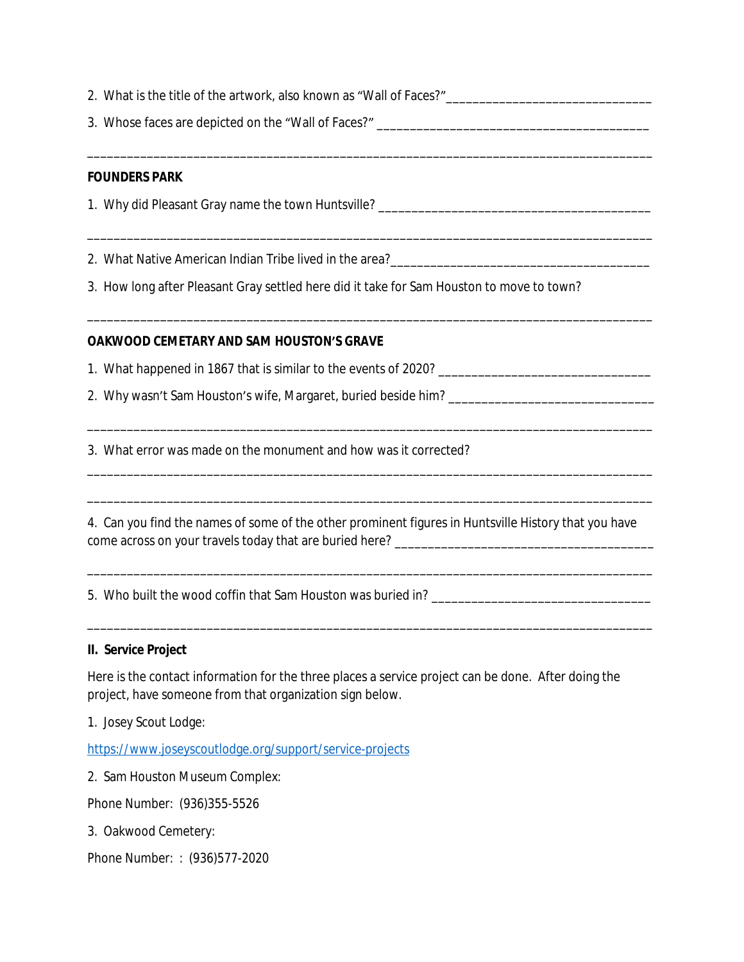- 2. What is the title of the artwork, also known as "Wall of Faces?"
- 3. Whose faces are depicted on the "Wall of Faces?"

\_\_\_\_\_\_\_\_\_\_\_\_\_\_\_\_\_\_\_\_\_\_\_\_\_\_\_\_\_\_\_\_\_\_\_\_\_\_\_\_\_\_\_\_\_\_\_\_\_\_\_\_\_\_\_\_\_\_\_\_\_\_\_\_\_\_\_\_\_\_\_\_\_\_\_\_\_\_\_\_\_\_\_\_\_

\_\_\_\_\_\_\_\_\_\_\_\_\_\_\_\_\_\_\_\_\_\_\_\_\_\_\_\_\_\_\_\_\_\_\_\_\_\_\_\_\_\_\_\_\_\_\_\_\_\_\_\_\_\_\_\_\_\_\_\_\_\_\_\_\_\_\_\_\_\_\_\_\_\_\_\_\_\_\_\_\_\_\_\_\_

\_\_\_\_\_\_\_\_\_\_\_\_\_\_\_\_\_\_\_\_\_\_\_\_\_\_\_\_\_\_\_\_\_\_\_\_\_\_\_\_\_\_\_\_\_\_\_\_\_\_\_\_\_\_\_\_\_\_\_\_\_\_\_\_\_\_\_\_\_\_\_\_\_\_\_\_\_\_\_\_\_\_\_\_\_

\_\_\_\_\_\_\_\_\_\_\_\_\_\_\_\_\_\_\_\_\_\_\_\_\_\_\_\_\_\_\_\_\_\_\_\_\_\_\_\_\_\_\_\_\_\_\_\_\_\_\_\_\_\_\_\_\_\_\_\_\_\_\_\_\_\_\_\_\_\_\_\_\_\_\_\_\_\_\_\_\_\_\_\_\_

\_\_\_\_\_\_\_\_\_\_\_\_\_\_\_\_\_\_\_\_\_\_\_\_\_\_\_\_\_\_\_\_\_\_\_\_\_\_\_\_\_\_\_\_\_\_\_\_\_\_\_\_\_\_\_\_\_\_\_\_\_\_\_\_\_\_\_\_\_\_\_\_\_\_\_\_\_\_\_\_\_\_\_\_\_

\_\_\_\_\_\_\_\_\_\_\_\_\_\_\_\_\_\_\_\_\_\_\_\_\_\_\_\_\_\_\_\_\_\_\_\_\_\_\_\_\_\_\_\_\_\_\_\_\_\_\_\_\_\_\_\_\_\_\_\_\_\_\_\_\_\_\_\_\_\_\_\_\_\_\_\_\_\_\_\_\_\_\_\_\_

\_\_\_\_\_\_\_\_\_\_\_\_\_\_\_\_\_\_\_\_\_\_\_\_\_\_\_\_\_\_\_\_\_\_\_\_\_\_\_\_\_\_\_\_\_\_\_\_\_\_\_\_\_\_\_\_\_\_\_\_\_\_\_\_\_\_\_\_\_\_\_\_\_\_\_\_\_\_\_\_\_\_\_\_\_

\_\_\_\_\_\_\_\_\_\_\_\_\_\_\_\_\_\_\_\_\_\_\_\_\_\_\_\_\_\_\_\_\_\_\_\_\_\_\_\_\_\_\_\_\_\_\_\_\_\_\_\_\_\_\_\_\_\_\_\_\_\_\_\_\_\_\_\_\_\_\_\_\_\_\_\_\_\_\_\_\_\_\_\_\_

### **FOUNDERS PARK**

1. Why did Pleasant Gray name the town Huntsville? \_\_\_\_\_\_\_\_\_\_\_\_\_\_\_\_\_\_\_\_\_\_\_\_\_\_\_\_\_\_\_\_\_\_\_\_\_\_\_\_\_

2. What Native American Indian Tribe lived in the area?\_\_\_\_\_\_\_\_\_\_\_\_\_\_\_\_\_\_\_\_\_\_\_\_\_\_\_\_\_\_\_\_\_\_\_\_\_\_\_

3. How long after Pleasant Gray settled here did it take for Sam Houston to move to town?

## **OAKWOOD CEMETARY AND SAM HOUSTON'S GRAVE**

1. What happened in 1867 that is similar to the events of 2020?

2. Why wasn't Sam Houston's wife, Margaret, buried beside him? \_\_\_\_\_\_\_\_\_\_\_\_\_\_\_\_\_\_\_\_\_\_\_\_\_\_\_\_\_\_\_

3. What error was made on the monument and how was it corrected?

4. Can you find the names of some of the other prominent figures in Huntsville History that you have come across on your travels today that are buried here? \_\_\_\_\_\_\_\_\_\_\_\_\_\_\_\_\_\_\_\_\_\_\_\_\_\_\_\_\_\_\_\_\_\_\_\_\_\_\_

5. Who built the wood coffin that Sam Houston was buried in? \_\_\_\_\_\_\_\_\_\_\_\_\_\_\_\_\_\_\_\_\_\_\_\_\_\_\_\_\_\_\_\_\_

#### **II. Service Project**

Here is the contact information for the three places a service project can be done. After doing the project, have someone from that organization sign below.

1. Josey Scout Lodge:

<https://www.joseyscoutlodge.org/support/service-projects>

2. Sam Houston Museum Complex:

Phone Number: (936)355-5526

3. Oakwood Cemetery:

Phone Number: : (936)577-2020